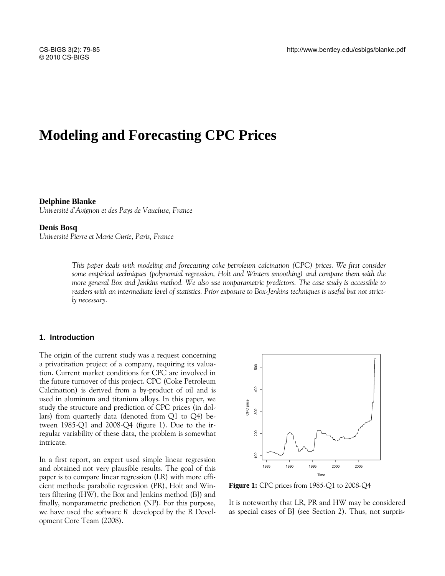# **Modeling and Forecasting CPC Prices**

#### **Delphine Blanke**

*Université d'Avignon et des Pays de Vaucluse, France* 

#### **Denis Bosq**

*Université Pierre et Marie Curie, Paris, France* 

*This paper deals with modeling and forecasting coke petroleum calcination (CPC) prices. We first consider some empirical techniques (polynomial regression, Holt and Winters smoothing) and compare them with the more general Box and Jenkins method. We also use nonparametric predictors. The case study is accessible to readers with an intermediate level of statistics. Prior exposure to Box-Jenkins techniques is useful but not strictly necessary.* 

## **1. Introduction**

The origin of the current study was a request concerning a privatization project of a company, requiring its valuation. Current market conditions for CPC are involved in the future turnover of this project. CPC (Coke Petroleum Calcination) is derived from a by-product of oil and is used in aluminum and titanium alloys. In this paper, we study the structure and prediction of CPC prices (in dollars) from quarterly data (denoted from  $Q1$  to  $Q4$ ) between 1985-Q1 and 2008-Q4 (figure 1). Due to the irregular variability of these data, the problem is somewhat intricate.

In a first report, an expert used simple linear regression and obtained not very plausible results. The goal of this paper is to compare linear regression (LR) with more efficient methods: parabolic regression (PR), Holt and Winters filtering (HW), the Box and Jenkins method (BJ) and finally, nonparametric prediction (NP). For this purpose, we have used the software *R* developed by the R Development Core Team (2008).



**Figure 1:** CPC prices from 1985-Q1 to 2008-Q4

It is noteworthy that LR, PR and HW may be considered as special cases of BJ (see Section 2). Thus, not surpris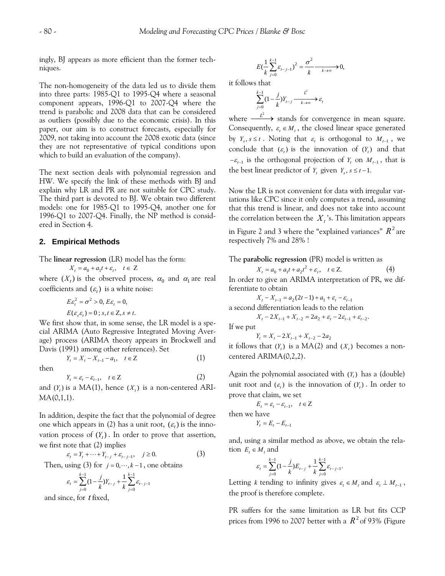ingly, BJ appears as more efficient than the former techniques.

The non-homogeneity of the data led us to divide them into three parts: 1985-Q1 to 1995-Q4 where a seasonal component appears, 1996-Q1 to 2007-Q4 where the trend is parabolic and 2008 data that can be considered as outliers (possibly due to the economic crisis). In this paper, our aim is to construct forecasts, especially for 2009, not taking into account the 2008 exotic data (since they are not representative of typical conditions upon which to build an evaluation of the company).

The next section deals with polynomial regression and HW. We specify the link of these methods with BJ and explain why LR and PR are not suitable for CPC study. The third part is devoted to BJ. We obtain two different models: one for 1985-Q1 to 1995-Q4, another one for 1996-Q1 to 2007-Q4. Finally, the NP method is considered in Section 4.

## **2. Empirical Methods**

The **linear regression** (LR) model has the form:

 $X_t = a_0 + a_1 t + \varepsilon_t, \quad t \in Z$ 

where  $(X_t)$  is the observed process,  $\alpha_0$  and  $\alpha_1$  are real coefficients and  $(\varepsilon_t)$  is a white noise:

$$
E\varepsilon_t^2 = \sigma^2 > 0, E\varepsilon_t = 0,
$$
  
 
$$
E(\varepsilon_s \varepsilon_t) = 0 \; ; \; s, t \in \mathbb{Z}, s \neq t.
$$

We first show that, in some sense, the LR model is a special ARIMA (Auto Regressive Integrated Moving Average) process (ARIMA theory appears in Brockwell and Davis (1991) among other references). Set

then

 $Y_t = \varepsilon_t - \varepsilon_{t-1}, \quad t \in \mathbb{Z}$  (2) and  $(Y_t)$  is a MA(1), hence  $(X_t)$  is a non-centered ARI- $MA(0,1,1)$ .

 $Y_t = X_t - X_{t-1} - a_1, \quad t \in \mathbb{Z}$  (1)

In addition, despite the fact that the polynomial of degree one which appears in (2) has a unit root,  $(\varepsilon_t)$  is the innovation process of  $(Y_t)$ . In order to prove that assertion, we first note that (2) implies

$$
\varepsilon_t = Y_t + \dots + Y_{t-j} + \varepsilon_{t-j-1}, \quad j \ge 0.
$$
 (3)

Then, using (3) for  $j = 0, \dots, k-1$ , one obtains

$$
\varepsilon_{t} = \sum_{j=0}^{k-1} (1 - \frac{j}{k}) Y_{t-j} + \frac{1}{k} \sum_{j=0}^{k-1} \varepsilon_{t-j-1}
$$

and since, for *t* fixed,

$$
E\left(\frac{1}{k}\sum_{j=0}^{k-1} \varepsilon_{t-j-1}\right)^2 = \frac{\sigma^2}{k} \xrightarrow{k \to \infty} 0,
$$

it follows that

$$
\sum_{j=0}^{k-1} (1 - \frac{j}{k}) Y_{t-j} \xrightarrow{k \to \infty} \varepsilon_t
$$

where  $\frac{L^2}{2}$  stands for convergence in mean square. Consequently,  $\varepsilon_t \in M_t$ , the closed linear space generated by  $Y_s$ ,  $s \le t$ . Noting that  $\varepsilon_t$  is orthogonal to  $M_{t-1}$ , we conclude that  $(\varepsilon_t)$  is the innovation of  $(Y_t)$  and that  $-\varepsilon_{t-1}$  is the orthogonal projection of  $Y_t$  on  $M_{t-1}$ , that is the best linear predictor of *Y*, given *Y*<sub>c</sub>,  $s \le t-1$ .

Now the LR is not convenient for data with irregular variations like CPC since it only computes a trend, assuming that this trend is linear, and does not take into account the correlation between the  $X_t$ 's. This limitation appears

in Figure 2 and 3 where the "explained variances"  $R^{\,2}$  are respectively 7% and 28% !

The **parabolic regression** (PR) model is written as

$$
X_t = a_0 + a_1 t + a_2 t^2 + \varepsilon_t, \quad t \in \mathbb{Z}.
$$
 (4)

In order to give an ARIMA interpretation of PR, we differentiate to obtain

 $X_t - X_{t-1} = a_2 (2t - 1) + a_1 + \varepsilon_t - \varepsilon_{t-1}$ 

a second differentiation leads to the relation  $X_{t} - 2X_{t-1} + X_{t-2} = 2a_{2} + \varepsilon_{t} - 2\varepsilon_{t-1} + \varepsilon_{t-2}.$ 

If we put

$$
Y_t = X_t - 2X_{t-1} + X_{t-2} - 2a_2
$$

it follows that  $(Y_t)$  is a MA(2) and  $(X_t)$  becomes a noncentered ARIMA(0,2,2).

Again the polynomial associated with  $(Y_t)$  has a (double) unit root and  $(\varepsilon_t)$  is the innovation of  $(Y_t)$ . In order to prove that claim, we set

$$
E_t = \varepsilon_t - \varepsilon_{t-1}, \quad t \in \mathbb{Z}
$$
  
then we have  

$$
Y_t = E_t - E_{t-1}
$$

and, using a similar method as above, we obtain the relation  $E_t \in M_t$ , and

$$
\varepsilon_{t} = \sum_{j=0}^{k-1} (1 - \frac{j}{k}) E_{t-j} + \frac{1}{k} \sum_{j=0}^{k-1} \varepsilon_{t-j-1}.
$$

Letting *k* tending to infinity gives  $\varepsilon_t \in M_t$  and  $\varepsilon_t \perp M_{t-1}$ , the proof is therefore complete.

PR suffers for the same limitation as LR but fits CCP prices from 1996 to 2007 better with a  $R^2$  of 93% (Figure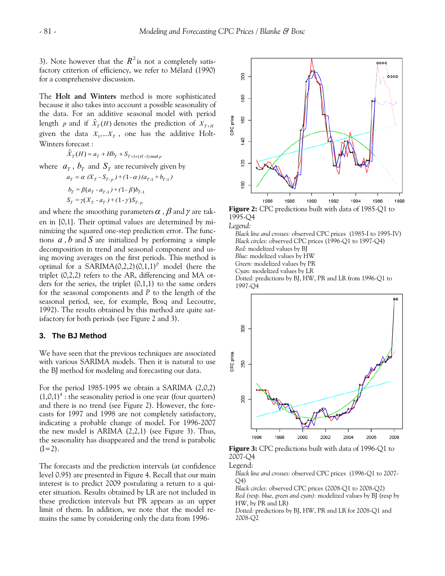3). Note however that the  $R^2$  is not a completely satisfactory criterion of efficiency, we refer to Mélard (1990) for a comprehensive discussio n.

The **Holt and Winters** method is more sophisticated because it also takes into account a possible seasonality of the data. For an additive seasonal model with period length *p* and if  $\hat{X}_T(H)$  denotes the prediction of  $X_{T+H}$ given the data  $X_1,... X_T$ , one has the additive Holt-Winters forecast:

 $\hat{X}_T(H) = a_T + Hb_T + S_{T+1+(H-1) \text{ mod } p}$ where  $a_T$ ,  $b_T$  and  $S_T$  are recursively given by  $a_T = \alpha \left( X_T - S_{T-p} \right) + \left( 1 - \alpha \right) \left( a_{T-1} + b_{T-1} \right)$  $b_T = \beta(a_T - a_{T-1}) + (1 - \beta)b_{T-1}$  $S_T = \gamma (X_T - a_T) + (1 - \gamma) S_{T-p}$ 

and where the smoothing parameters  $\alpha$  ,  $\beta$  and  $\gamma$  are taken in [0,1]. Their optimal values are dete rmined by minimizing the squared one-step prediction error. The functions *a* , *b* and *S* are initialized by performing a simple decomposition in trend and seasonal component and using moving averages on the first periods. This method is optimal for a SARIMA $(0,2,2)(0,1,1)^P$  model (here the triplet (0,2,2) refers to the AR, differencing and MA orders for the series, the triplet  $(0,1,1)$  to the same orders for the seasonal components and *P* to the length of the seasonal period, see, for example, Bosq and Lecoutre, 1992). The results obtained by this method are quite satisfactory for both periods (see Figure 2 and 3).

## **3. The BJ Method**

We have seen that the previous techniques are associated with various SARIMA models. Then it is natural to use the BJ method for modeling and forecasting our data.

For the period 1985-1995 we obtain a SARIMA (2,0,2)  $(1,0,1)^4$ : the seasonality period is one year (four quarters) and there is no trend (see Figure 2). However, the forecasts for 1997 and 1998 are not completely satisfactory, indicating a probable change of model. For 1996-2007 the new model is ARIMA (2,2,1) (see Figure 3). Thus, the seasonality has disappeared and the trend is parabolic  $(I=2)$ .

The forecasts and the prediction intervals (at confidence level 0.95) are presented in Figure 4. Recall that our main interest is to predict 2009 postulating a return to a quieter situation. Results obtained by LR are not included in these prediction intervals but PR appears as an upper limit of them. In addition, we note that the model remains the same by considering only the data from 1996-



**Figure 2:** CPC predictions built with data of 1985-Q1 to 1995-Q4

*Legend:* 

 *and crosses:* observed CPC prices (1985-I to 1995-IV) *Black line rcles:* observed CPC prices (1996-Q1 to 1997-Q4) *Black ci* Dotted: predictions by BJ, HW, PR and LR from 1996-Q1 to *Red:* modelized values by BJ *Blue:* modelized values by HW *Green:* modelized values by PR *Cyan:* modelized values by LR 1997-Q4



**Figure 3:** CPC predictions built with data of 1996-Q1 to 2007-Q4

Legend:

 *and crosses:* observed CPC prices (1996-Q1 to 2007- *Black line* Q4)

*Black circles:* observed CPC prices (2008-Q1 to 2008-Q2)

*Red (resp. blue, green and cyan):* modelized values by BJ (resp by HW, by PR and LR)

*Dotted:* predictions by BJ, HW, PR and LR for 2008-Q1 and 2008-Q2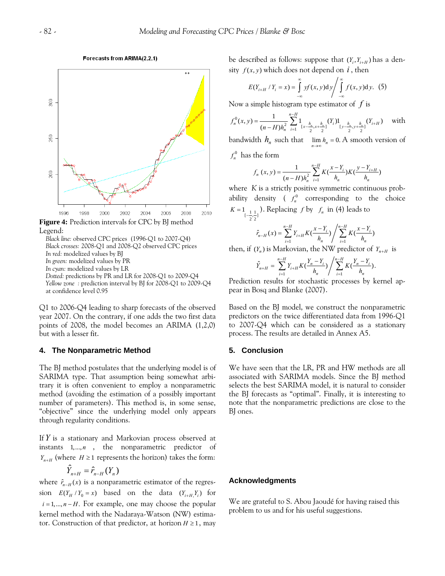#### Forecasts from ARIMA(2.2.1)



**Figure 4:** Prediction intervals for CPC by BJ method Legend:

*sses:* 2008-Q1 and 2008-Q2 observed CPC prices *Black cro* Dotted: predictions by PR and LR for 2008-Q1 to 2009-Q4 y BJ for 2008-Q1 to 2009-Q4 *Yellow zone :* prediction interval b *Black line:* observed CPC prices (1996-Q1 to 2007-Q4) *In red:* modelized values by BJ *In green:* modelized values by PR *In cyan:* modelized values by LR at confidence level 0.95

Q1 to 2006-Q4 leading to sharp forecasts of the observed y ear 2007. On the contrary, if one adds the two first data points of 2008, the model becomes an ARIMA (1,2,0) but with a lesser fit.

#### **4. The Nonparametric Method**

The BJ method postulates that the underlying model is of SARIMA type. That assumption being somewhat arbitrary it is often convenient to employ a nonparametric method (avoiding the estimation of a possibly important number of parameters). This method is, in some sense, "objective" since the underlying model only appears through regularity conditions.

If *Y* is a stationary and Markovian process observed at instants  $1, \ldots, n$ , the nonparametric predictor of *Y<sub>n+H</sub>* (where *H* ≥ 1 represents the horizon) takes the form:

$$
\hat{Y}_{n+H} = \hat{r}_{n-H}(Y_n)
$$

where  $\hat{r}_{n-H}(x)$  is a nonparametric estimator of the regression  $E(Y_H / Y_0 = x)$  based on the data  $(Y_{i+H}, Y_i)$  for  $i = 1, \ldots, n - H$ . For example, one may choose the popular tor. Construction of that predictor, at horizon  $H \geq 1$ , may kernel method with the Nadaraya-Watson (NW) estimabe described as follows: suppose that  $(Y_i, Y_{i+H})$  has a density  $f(x, y)$  which does not depend on  $i$ , then

$$
E(Y_{i+H} / Y_i = x) = \int_{-\infty}^{\infty} y f(x, y) dy / \int_{-\infty}^{\infty} f(x, y) dy.
$$
 (5)

Now a simple histogram type estimator of *f* is

$$
f_n^0(x, y) = \frac{1}{(n-H)h_n^2} \sum_{i=1}^{n-H} 1_{[x-\frac{h_n}{2}, x+\frac{h_n}{2}]} (Y_i) 1_{[y-\frac{h_n}{2}, y+\frac{h_n}{2}]} (Y_{i+H}) \quad \text{ with }
$$

bandwidth  $h_n$  such that  $\lim_{n\to\infty} h_n = 0$ . A smooth version of

 $f_n^0$  has the form

$$
f_n(x, y) = \frac{1}{(n - H)h_n^2} \sum_{i=1}^{n-H} K(\frac{x - Y_i}{h_n}) K(\frac{y - Y_{i+H}}{h_n})
$$

where *K* is a strictly positive symmetric continuous probability density ( $f_n^0$  corresponding to the choice  $K = 1_{\left[-\frac{1}{2},\frac{1}{2}\right)}$ . Replacing *f* by  $f_n$  in (4) leads to

$$
\hat{r}_{n-H}(x) = \sum_{i=1}^{n-H} Y_{i+H} K(\frac{x - Y_i}{h_n}) / \sum_{i=1}^{n-H} K(\frac{x - Y_i}{h_n})
$$

then, if  $(Y_n)$  is Markovian, the NW predictor of  $Y_{n+H}$  is

$$
\hat{Y}_{n+H} = \sum_{i=1}^{n-H} Y_{i+H} K(\frac{Y_n - Y_i}{h_n}) / \sum_{i=1}^{n-H} K(\frac{Y_n - Y_i}{h_n}).
$$

Prediction results for stochastic processes by kernel appear in Bosq and Blanke (2007).

Based on the BJ model, we construct the nonparametric predictors on the twice differentiated data from 1996-Q1 to 2007-Q4 which can be considered as a stationary process. The results are detailed in Annex A5.

## **5. Conclusion**

We have seen that the LR, PR and HW methods are all associated with SARIMA models. Since the BJ method selects the best SARIMA model, it is natural to consider the BJ forecasts as "optimal". Finally, it is interesting to note that the nonparametric predictions are close to the BJ ones.

#### **cknowledgments A**

We are grateful to S. Abou Jaoudé for having raised this roblem to us and for his useful suggestions. p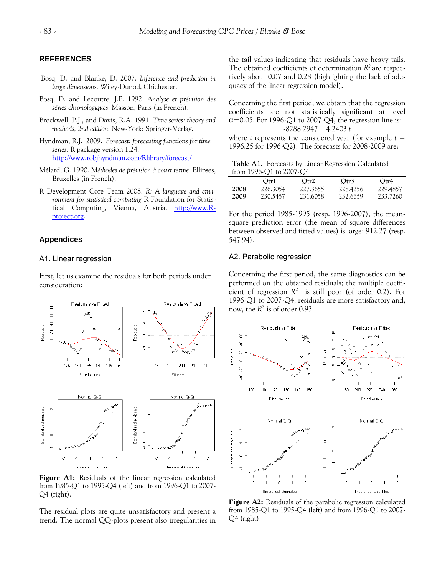## **REFERENCES**

- Bosq, D. and Blanke, D. 2007. Inference and prediction in large dimensions. Wiley-Dunod, Chichester.
- Bosq, D. and Lecoutre, J.P. 1992. Analyse et prévision des *séries chronologiques.* Masson, Paris (in French).
- Brockwell, P.J., and Davis, R.A. 1991. *Time series: theory and methods, 2nd edition.* New-York: Springer-Verlag.
- Hyndman, R.J. 2009. *Forecast: forecasting functions for time series.* R package version 1.24. http://www.robjhyndman.com/Rlibrary/forecast/
- Mélard, G. 1990. *Méthodes de prévision à court terme.* Ellipses , Bruxelles (in French).
- R Development Core Team 2008. R: A language and envitical Computing, Vienna, Austria. http://www.R*ronment for statistical computing* R Foundation for Statisproject.or[g.](http://www.r-project.org/)

## **Ap[pendices](http://www.r-project.org/)**

#### A1. Linear regression

First, let us examine the residuals for both periods under consideration:



**Figure A1:** Residuals of the linear regression calculated from 1985-Q1 to 1995-Q4 (left) and from 1996-Q1 to 2007- Q4 (right).

The residual plots are quite unsatisfactory and present a trend. The normal QQ-plots present also irregularities in

the tail values indicating that residuals have heavy tails. The obtained coefficients of determination *R2* are respectively about 0.07 and 0.28 (highlighting the lack of adequacy of the linear regression model).

coefficients are not statistically significant at level  $\alpha$ =0.05. For 1996-Q1 to 2007-Q4, the regression line is: Concerning the first period, we obtain that the regression -8288.2947+ 4.2403 *t*

where *t* represents the considered year (for example  $t =$ 1996.25 for 1996-Q2). The forecasts for 2008-2009 are:

**Table A1.** Forecasts by Linear Regression Calculated from 1996-Q1 to 2007-Q4

|      | Otr1     | Otr2     | Otr3     | Otr4     |
|------|----------|----------|----------|----------|
| 2008 | 226.3054 | 227.3655 | 228.4256 | 229.4857 |
| 2009 | 230.5457 | 231.6058 | 232.6659 | 233.7260 |

For the period 1985-1995 (resp. 1996-2007), the meansquare prediction error (the mean of square differences between observed and fitted values) is large: 912.27 (resp. 547.94).

## A2. Parabolic regression

Concerning the first period, the same diagnostics can be performed on the obtained residuals; the multiple coefficient of regression  $R^2$  is still poor (of order 0.2). For 1996-Q1 to 2007-Q4, residuals are more satisfactory and, now, the *R2* is of order 0.93.



**Figure A2:** Residuals of the parabolic regression calculated from 1985-Q1 to 1995-Q4 (left) and from 1996-Q1 to 2007- Q4 (right).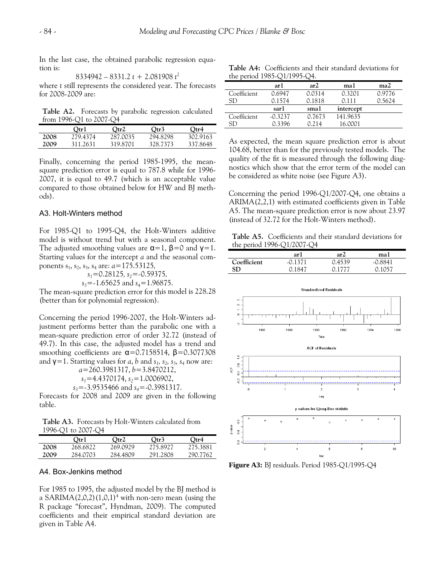In the last case, the obtained parabolic regression equation is:

8334942 – 8331.2 *t* + 2.081908 *t* 2 for 2008-2009 are: where *t* still represents the considered year. The forecasts

from 1996-Q1 to 2007-Q4 **Table A2.** Forecasts by parabolic regression calculated

|      | Otr1     | Otr2     | Otr3     | Qtr4     |
|------|----------|----------|----------|----------|
| 2008 | 279.4374 | 287.0035 | 294.8298 | 302.9163 |
| 2009 | 311 2631 | 319.8701 | 328.7373 | 337.8648 |

Finally, concerning the period 1985-1995, the meansquare prediction error is equal to 787.8 while for 1996-2007, it is equal to 49.7 (which is an acceptable value compared to those obtained below for HW and BJ methods).

## A3. Holt-Winters method

For  $1985\text{-}Q1$  to  $1995\text{-}Q4$ , the Holt-Winters additive The adjusted smoothing values are  $\alpha = 1$ ,  $\beta = 0$  and  $\gamma = 1$ . model is without trend but with a seasonal component. Starting values for the intercept *a* and the seasonal components  $s_1$ ,  $s_2$ ,  $s_3$ ,  $s_4$  are:  $a=175.53125$ ,

*s*<sub>1</sub>=0.28125*, s*<sub>2</sub>=-0.59375*,* 

*s*<sub>3</sub>=-1.65625 and *s*<sub>4</sub>=1.96875.

The mean-square prediction error for this model is 228.28 (better than for polynomial regression).

justment performs better than the parabolic one with a mean-square prediction error of order 32.72 (instead of Concerning the period 1996-2007, the Holt-Winters ad-49.7). In this case, the adjusted model has a trend and smoothing coefficients are  $\alpha$ =0.7158514,  $\beta$ =0.3077308 and  $\gamma = 1$ . Starting values for *a*, *b* and *s*<sub>1</sub>, *s*<sub>2</sub>, *s*<sub>3</sub>, *s*<sub>4</sub> now are:

*a*=260.3981317, *b*=3.8470212, *s*<sub>1</sub>=4.4370174, *s*<sub>2</sub>=1.0006902, *s<sub>3</sub>*=-3.9535466 and *s<sub>4</sub>*=-0.3981317.

Forecasts for 2008 and 2009 are given in the following table.

1996-Q1 to 2007-Q4 **Table A3.** Forecasts by Holt-Winters calculated from

| ------------ |          |          |          |          |  |  |
|--------------|----------|----------|----------|----------|--|--|
|              | Otr1     | Qtr2     | Otr3     | Otr4     |  |  |
| 2008         | 268.6822 | 269.0929 | 275.8927 | 275.3881 |  |  |
| 2009         | 284.0703 | 284.4809 | 291.2808 | 290.7762 |  |  |

## A4. Box-Jenkins method

For 1985 to 1995, the adjusted model by the BJ method is a SARIMA(2,0,2)(1,0,1)<sup>4</sup> with non-zero mean (using the R package "forecast", Hyndman, 2009). The computed coefficients and their empirical standard deviation are given in Table A4.

the period 1985-Q1/1995-Q4. **Table A4:** Coefficients and their standard deviations for

|             | ar 1      | ar2    | ma1       | ma2    |
|-------------|-----------|--------|-----------|--------|
| Coefficient | 0.6947    | 0.0314 | 0.3201    | 0.9776 |
| SD          | 0.1574    | 0.1818 | 0.111     | 0.5624 |
|             | sar1      | sma1   | intercept |        |
| Coefficient | $-0.3237$ | 0.7673 | 141.9635  |        |
| SD          | 0.3396    | 0.214  | 16.0001   |        |
|             |           |        |           |        |

As expected, the mean square prediction error is about 104.68, better than for the previously tested models. The quality of the fit is measured through the following diagnostics which show that the error term of the model can be considered as white noise (see Figure A3).

 $ARIMA(2,2,1)$  with estimated coefficients given in Table 5. The mean-square prediction error is now about 23.97 A Concerning the period 1996-Q1/2007-Q4, one obtains a (instead of 32.72 for the Holt-Winters method).

**Table A5.** Coefficients and their standard deviations for the period 1996-Q1/2007-Q4

|             | ar l      | ar2    | ma I          |
|-------------|-----------|--------|---------------|
| Coefficient | $-0.1371$ | 0.4539 | -0.8841       |
| <b>SD</b>   | 0.1847    | 0.1777 | <u>ი 1057</u> |



**Figure A3:** BJ residuals. Period 1985-Q1/1995-Q4